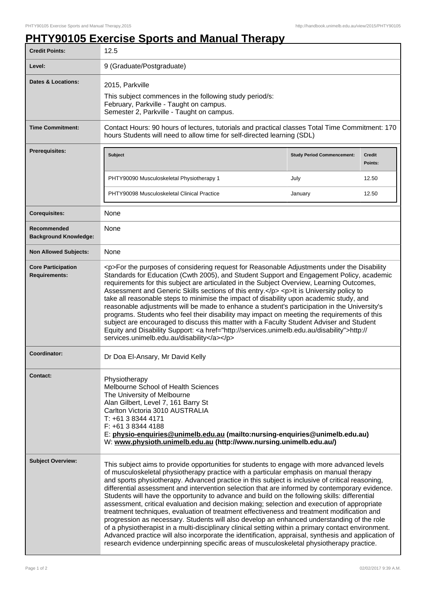## **PHTY90105 Exercise Sports and Manual Therapy**

| <b>Credit Points:</b>                             | 12.5                                                                                                                                                                                                                                                                                                                                                                                                                                                                                                                                                                                                                                                                                                                                                                                                                                                                                                                                                                                                                                                                                             |                                   |                          |
|---------------------------------------------------|--------------------------------------------------------------------------------------------------------------------------------------------------------------------------------------------------------------------------------------------------------------------------------------------------------------------------------------------------------------------------------------------------------------------------------------------------------------------------------------------------------------------------------------------------------------------------------------------------------------------------------------------------------------------------------------------------------------------------------------------------------------------------------------------------------------------------------------------------------------------------------------------------------------------------------------------------------------------------------------------------------------------------------------------------------------------------------------------------|-----------------------------------|--------------------------|
| Level:                                            | 9 (Graduate/Postgraduate)                                                                                                                                                                                                                                                                                                                                                                                                                                                                                                                                                                                                                                                                                                                                                                                                                                                                                                                                                                                                                                                                        |                                   |                          |
| <b>Dates &amp; Locations:</b>                     | 2015, Parkville<br>This subject commences in the following study period/s:<br>February, Parkville - Taught on campus.<br>Semester 2, Parkville - Taught on campus.                                                                                                                                                                                                                                                                                                                                                                                                                                                                                                                                                                                                                                                                                                                                                                                                                                                                                                                               |                                   |                          |
| <b>Time Commitment:</b>                           | Contact Hours: 90 hours of lectures, tutorials and practical classes Total Time Commitment: 170<br>hours Students will need to allow time for self-directed learning (SDL)                                                                                                                                                                                                                                                                                                                                                                                                                                                                                                                                                                                                                                                                                                                                                                                                                                                                                                                       |                                   |                          |
| <b>Prerequisites:</b>                             | Subject                                                                                                                                                                                                                                                                                                                                                                                                                                                                                                                                                                                                                                                                                                                                                                                                                                                                                                                                                                                                                                                                                          | <b>Study Period Commencement:</b> | <b>Credit</b><br>Points: |
|                                                   | PHTY90090 Musculoskeletal Physiotherapy 1                                                                                                                                                                                                                                                                                                                                                                                                                                                                                                                                                                                                                                                                                                                                                                                                                                                                                                                                                                                                                                                        | July                              | 12.50                    |
|                                                   | PHTY90098 Musculoskeletal Clinical Practice                                                                                                                                                                                                                                                                                                                                                                                                                                                                                                                                                                                                                                                                                                                                                                                                                                                                                                                                                                                                                                                      | January                           | 12.50                    |
| <b>Corequisites:</b>                              | None                                                                                                                                                                                                                                                                                                                                                                                                                                                                                                                                                                                                                                                                                                                                                                                                                                                                                                                                                                                                                                                                                             |                                   |                          |
| Recommended<br><b>Background Knowledge:</b>       | None                                                                                                                                                                                                                                                                                                                                                                                                                                                                                                                                                                                                                                                                                                                                                                                                                                                                                                                                                                                                                                                                                             |                                   |                          |
| <b>Non Allowed Subjects:</b>                      | None                                                                                                                                                                                                                                                                                                                                                                                                                                                                                                                                                                                                                                                                                                                                                                                                                                                                                                                                                                                                                                                                                             |                                   |                          |
| <b>Core Participation</b><br><b>Requirements:</b> | <p>For the purposes of considering request for Reasonable Adjustments under the Disability<br/>Standards for Education (Cwth 2005), and Student Support and Engagement Policy, academic<br/>requirements for this subject are articulated in the Subject Overview, Learning Outcomes,<br/>Assessment and Generic Skills sections of this entry.</p> <p>lt is University policy to<br/>take all reasonable steps to minimise the impact of disability upon academic study, and<br/>reasonable adjustments will be made to enhance a student's participation in the University's<br/>programs. Students who feel their disability may impact on meeting the requirements of this<br/>subject are encouraged to discuss this matter with a Faculty Student Adviser and Student<br/>Equity and Disability Support: &lt; a href="http://services.unimelb.edu.au/disability"&gt;http://<br/>services.unimelb.edu.au/disability</p>                                                                                                                                                                     |                                   |                          |
| Coordinator:                                      | Dr Doa El-Ansary, Mr David Kelly                                                                                                                                                                                                                                                                                                                                                                                                                                                                                                                                                                                                                                                                                                                                                                                                                                                                                                                                                                                                                                                                 |                                   |                          |
| Contact:                                          | Physiotherapy<br>Melbourne School of Health Sciences<br>The University of Melbourne<br>Alan Gilbert, Level 7, 161 Barry St<br>Carlton Victoria 3010 AUSTRALIA<br>T: +61 3 8344 4171<br>F: +61 3 8344 4188<br>E: physio-enquiries@unimelb.edu.au (mailto:nursing-enquiries@unimelb.edu.au)<br>W: www.physioth.unimelb.edu.au (http://www.nursing.unimelb.edu.au/)                                                                                                                                                                                                                                                                                                                                                                                                                                                                                                                                                                                                                                                                                                                                 |                                   |                          |
| <b>Subject Overview:</b>                          | This subject aims to provide opportunities for students to engage with more advanced levels<br>of musculoskeletal physiotherapy practice with a particular emphasis on manual therapy<br>and sports physiotherapy. Advanced practice in this subject is inclusive of critical reasoning,<br>differential assessment and intervention selection that are informed by contemporary evidence.<br>Students will have the opportunity to advance and build on the following skills: differential<br>assessment, critical evaluation and decision making; selection and execution of appropriate<br>treatment techniques, evaluation of treatment effectiveness and treatment modification and<br>progression as necessary. Students will also develop an enhanced understanding of the role<br>of a physiotherapist in a multi-disciplinary clinical setting within a primary contact environment.<br>Advanced practice will also incorporate the identification, appraisal, synthesis and application of<br>research evidence underpinning specific areas of musculoskeletal physiotherapy practice. |                                   |                          |